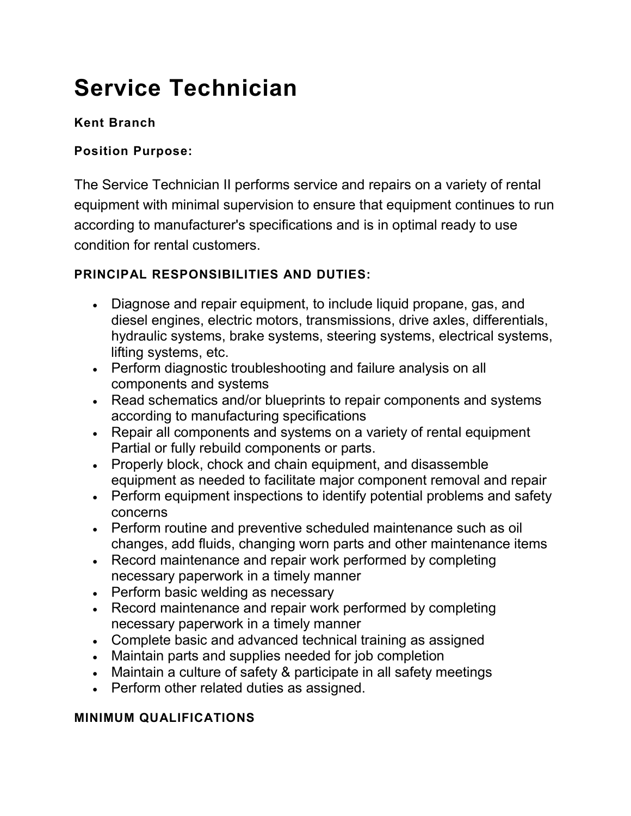# **Service Technician**

## **Kent Branch**

#### **Position Purpose:**

The Service Technician II performs service and repairs on a variety of rental equipment with minimal supervision to ensure that equipment continues to run according to manufacturer's specifications and is in optimal ready to use condition for rental customers.

### **PRINCIPAL RESPONSIBILITIES AND DUTIES:**

- Diagnose and repair equipment, to include liquid propane, gas, and diesel engines, electric motors, transmissions, drive axles, differentials, hydraulic systems, brake systems, steering systems, electrical systems, lifting systems, etc.
- Perform diagnostic troubleshooting and failure analysis on all components and systems
- Read schematics and/or blueprints to repair components and systems according to manufacturing specifications
- Repair all components and systems on a variety of rental equipment Partial or fully rebuild components or parts.
- Properly block, chock and chain equipment, and disassemble equipment as needed to facilitate major component removal and repair
- Perform equipment inspections to identify potential problems and safety concerns
- Perform routine and preventive scheduled maintenance such as oil changes, add fluids, changing worn parts and other maintenance items
- Record maintenance and repair work performed by completing necessary paperwork in a timely manner
- Perform basic welding as necessary
- Record maintenance and repair work performed by completing necessary paperwork in a timely manner
- Complete basic and advanced technical training as assigned
- Maintain parts and supplies needed for job completion
- Maintain a culture of safety & participate in all safety meetings
- Perform other related duties as assigned.

#### **MINIMUM QUALIFICATIONS**